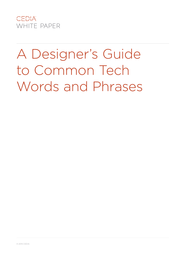

# A Designer's Guide to Common Tech Words and Phrases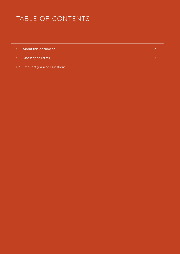# TABLE OF CONTENTS

| 01 About this document        |  |
|-------------------------------|--|
| 02 Glossary of Terms          |  |
| 03 Frequently Asked Questions |  |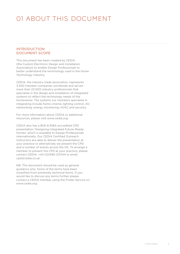# 01 ABOUT THIS DOCUMENT

# INTRODUCTION: DOCUMENT SCOPE

This document has been created by CEDIA (the Custom Electronic Design and Installation Association) to enable Design Professionals to better understand the terminology used in the Home Technology Industry.

CEDIA, the industry trade association, represents 3,500 member companies worldwide and serves more than 22,000 industry professionals that specialise in the design and installation of integrated systems to reflect the technology needs of the homeowner. The systems our members specialise in integrating include home cinema; lighting control; AV; networking; energy monitoring; HVAC and security.

For more information about CEDIA or additional resources, please visit www.cedia.org.

CEDIA also has a BIID & RIBA accredited CPD presentation 'Designing Integrated Future-Ready Homes' which is available to Design Professionals internationally. Our CEDIA Certified Outreach Instructors are able to deliver the presentation at your practice or alternatively we present the CPD and a number of events across the UK. To arrange a member to present the CPD at your practice, please contact CEDIA, +44 (0)1480 213744 or email cpd@cedia.co.uk.

NB: This document should be used as general guidance only. Some of the terms have been simplified from extremely technical terms. If you would like to discuss any terms further please contact a CEDIA member using the Finder Service on www.cedia.org.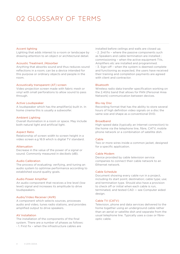#### Accent lighting

Lighting that adds interest to a room or landscape by drawing attention to an object or architectural detail.

#### Acoustic Treatment /Absorber

Anything that absorbs sound and thus reduces sound reflections in a room; can be a device intended for this purpose or ordinary objects and people in the room.

# Acoustically transparent (AT) screen

Video projection screen made with fabric mesh or vinyl with small perforations to allow sound to pass through.

#### Active Loudspeaker

A loudspeaker which has the amplifier(s) built in. In home cinema this is usually a subwoofer.

#### Ambient Lighting

Overall illumination in a room or space. May include both natural light and artificial light.

#### Aspect Ratio

Relationship of screen width to screen height in a video screen e.g 16:9 which is digital TV standard.

#### Attenuation

Decrease in the value of the power of a signal or sound. Commonly measured in decibels (dB).

#### Audio Calibration

The process of evaluating; verifying, and tuning an audio system to optimise performance according to established sound quality goals.

#### Audio Power Amplifier

An audio component that receives a line level (low level) signal and increases its amplitude to drive loudspeakers.

#### Audio/Video Receiver (AVR)

A component which selects sources, processes audio and video, tunes radio stations, and provides amplified output to drive speakers.

#### AV Installation

The installation of the components of the final system. There are a number of phases as follows: - 1. First fix – when the infrastructure cables are

installed before ceilings and walls are closed up. - 2. 2nd fix – where the passive components such as Speakers and cable termination are installed ; commissioning – when the active equipment TVs, Amplifiers etc are installed and programmed. - 3. Sign-off – when the system is deemed complete and functioning as expected, the users have received their training and completion payments are agreed with client and contractor.

### Bluetooth

Wireless radio data transfer specification working on the 2.4Ghz band that allows for PAN (Personal Area Network) communication between devices.

#### Blu-ray Disc

Recording format that has the ability to store several hours of high definition video signals on a disc the same size and shape as a conventional DVD.

#### Broadband

High-speed data (typically an Internet connection) to the home via the telephone line, fibre, CATV, mobile phone network or a combination of satellite dish.

#### Cable

Two or more wires inside a common jacket, designed for a specific application.

#### Cable Modem

Device provided by cable television service companies to connect their cable network to an Ethernet network.

#### Cable Schedule

Document showing every cable run in a project, including its start point; destination; cable type; use; and termination type. Should also have a provision to check off or initial when each cable is run, terminated, and tested CAD — see Computer aided design.

#### Cable TV (CATV)

Television, phone and data services delivered to the home together using an underground cable rather than an aerial or satellite dish and separate from the usual telephone line. Typically uses a coax or fibreoptic cable.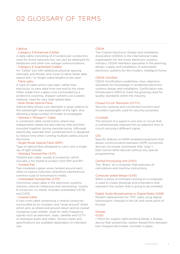# Cabling

### - Category 5 Enhanced (Cat5e)

A data cable consisting of 4 twisted pair conductors used for home networks but can also be deployed for telephone and other low voltage communications.

#### - Category 6 Augmented (Cat6a)

As "Cat5e" but with additional physical spacing internally and thicker wire cores to allow faster data speed and / or longer cable lengths to be used.

# - Fibre-optic

A type of cable which uses light, rather than electricity, to pass data from one end to the other. Often made from a glass core surrounded by a protective covering, cheaper variants use a plastic material. Used for very high-speed data.

### - Multi-Mode Optical Fibre

Optical fibre whose core diameter is large relative to the wavelength (see wavelength) of the light, thus allowing a large number of modes to propagate.

# - Siamese ("Shotgun") Cable

A combined cable construction where two independent cables are laid side-by-side and then moulded together during manufacturing. Although electrically separate their combined form is designed to reduce time when running multiple cables around the home.

#### - Single Mode Optical Fibre (SMF)

Type of optical fibre designed to carry only a single ray of light (mode).

# - Shielded Twisted Pair (STP)

Twisted pair cable, usually 8 conductor, which includes a foil shield to protect from EMI and RFI.

# - Twisted Pair

Two insulated copper wires twisted around each other to reduce induction (therefore interference); common type of transmission media.

# - Unshielded Twisted Pair (UTP)

Commonly used cable in the electronic systems industry used for telephone and networking. Usually 8 conductor, no shield. Includes unshielded CAT5e and CAT6.

#### - Coaxial Cable

A two-core cable comprising a central conductor surrounded by an insulator and "wrap around" braid which acts as shield and ground return and an overall insulating outer sheath. Used for radio frequency signals such as television, radio, satellite and CCTV or analogue audio and video. Various types and specifications are available dependant on intended use.

# **CEDIA**

The Custom Electronic Design and Installation Association (CEDIA) is the international trade organisation for the home electronic systems industry. CEDIA members specialise in the planning, design, supply and installation of automated electronic systems for the modern, intelligent home.

# CEDIA Certified

CEDIA Certification establishes clear, objective standards for knowledge in residential electronic systems design and installation. Certification was introduced in 2003 to meet the growing need for quality standards within the industry.

#### Closed Circuit Television (CCTV)

Security cameras and connected monitors and recorders typically used for security purposes.

#### Crosstalk

The amount of a signal in one wire or circuit that is unintentionally induced into an adjacent wire or circuit carrying a different signal.

#### **CEC**

Specific feature on HDMI-enabled equipment that allows communication between HDMI-connected devices via simple commands (like "play") that control other devices without any special programming.

### Central Processing Unit (CPU)

The "Brain" of a computer that executes all calculations and machine instructions.

#### Computer aided design (CAD)

When a piece of software running on a computer is used to create drawings and schematics that represent the system that is going to be installed.

#### Digital Audio Broadcasting or Digital Radio (DAB)

Modern replacement for "FM" radio using digital transmission. Popular in the UK and some parts of Europe.

# **Display**

# OLED

• Short for organic light-emitting diode, a display device that sandwiches carbon-based films between two charged electrodes, normally in glass.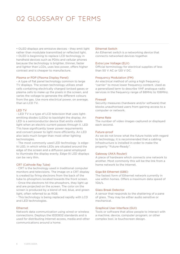• OLED displays are emissive devices - they emit light rather than modulate transmitted or reflected light. • OLED is beginning to replace LCD technology in handheld devices such as PDAs and cellular phones because the technology is brighter, thinner, faster and lighter than LCDs, uses less power, offers higher contrast and is cheaper to manufacture.

#### Plasma or PDP (Plasma Display Panel)

- A type of flat panel technology common to large TV displays. The screen technology utilises small cells containing electrically charged ionised gases or plasma cells to make up the pixels in the screen, and varies the voltage to generate the different colours from the gas. Use more electrical power, on average, than an LCD TV.

### LED TV

- LED TV is a type of LCD television that uses lightemitting diodes (LEDs) to backlight the display. An LED is a semiconductor device that emits visible light when an electric current passes through it. LED TVs have significantly lower power requirements and convert power to light more efficiently. An LED also lasts much longer than most other lighting technologies.

- The most commonly used LED technology is edgelit LED, in which white LEDs are situated around the edge of the screen and a diffusion panel employed to illuminate the display evenly. Edge-lit LED displays can be very thin.

# CRT (Cathode Ray Tube)

- CRT is the technology used in traditional computer monitors and televisions. The image on a CRT display is created by firing electrons from the back of the tube to phosphors located towards the front screen. - Once the electrons hit the phosphors, they light up and are projected on the screen. The color on the screen is produced by a blend of red, blue, and green light, often referred to as RGB.

- This technology is being replaced rapidly with LCD and LED technologies.

#### Ethernet

Network data communication using wired or wireless connections. Deploys the IEEE802 standards and is used for distributing Internet access, media and other communications around a home.

#### Ethernet Switch

An Ethernet switch is a networking device that connects networked devices together.

#### Extra Low Voltage (ELV)

Official terminology for electrical supplies of less than 50 V AC or 120 V DC.

#### Frequency Modulation (FM)

An electrical method of using a high frequency "carrier" to move lower frequency content. Used as a generalized term to describe VHF analogue radio services in the frequency range of 88MHz to 108MHz.

#### Firewall

Security measures (hardware and/or software) that blocks unauthorised users from gaining access to a computer or network.

#### Frame Rate

The number of video images captured or displayed each second.

#### Future-proof

As we do not know what the future holds with regard to technology, it is recommended that a cabling infrastructure is installed in order to make the property "Future-Ready".

#### Gateway (AKA Router)

A piece of hardware which connects one network to another. Most commonly this will be the link from a home network to the Internet.

#### Giga Bit Ethernet (GBE)

The fastest form of Ethernet network currently in use within homes. Offers a maximum data speed of 1Gb/s.

#### Glass Break Detector

A sensor that responds to the shattering of a pane of glass. They may be either audio sensitive or mechanical.

#### Graphical User Interface (GUI)

Tools or software that allow people to interact with a machine, device, computer program, or other complex tool. ie touchscreen design.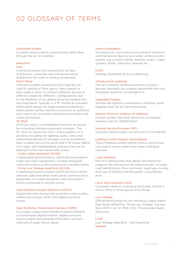#### Hardwired System

A system using wires to communicate rather than through the air (or wireless).

# Head End

# Hub

Central enclosure and connectivity for likes of telecoms, computer networking and aerial distribution for small to medium properties.

# Patch Panel

Centrally located connection ports typically for Cat5/6 cabling or Fibre optics. Patch panels or bays make it easier to connect different devices in different orders for different configurations, due to the flexibility of all cabling being terminated into the fixed panel. Typically in a 19" format as standard Patch panel design for large residential dwellings. Patch panels can be used for connection to switchers and routers for computer networking and Audio and video distribution.

# AV Rack

A 19-inch rack is a standardised frame or enclosure for mounting multiple equipment modules. The 19" rack can house the main control systems in a property including the lighting, audio, video and networking devices to manage a home installation. Each module has a front panel that is 19 inches (482.6 mm) wide, with standardised modules that can be fastened to the rack frame with screws.

# - Audio Video Head End (AVHE)

A dedicated central location within the home where audio and video equipment is located alongside cable termination points connected to remote rooms.

# - Extra Low Voltage Head End (ELVHE)

A dedicated central location within the home where network, data and other small signal communication equipment is located alongside cable termination points connected to remote rooms.

# High Definition Digital Television (HDTV)

Digital television format that provides a high-quality widescreen picture (16:9) with digital surround sound.

# High-Definition Multimedia Interface (HDMI)

A compact audio/video interface used to transmit uncompressed digital streams, digital surround sound, control and network information and two channels of audio return signal.

# Home Automation

The electronic connection and control of electrical and mechanical devices by a wider, unified control system, e.g. curtains, blinds, lighting, audio / video systems, HVAC, telecoms, internet etc.

# HVAC

Heating; Ventilation & Air-conditioning.

# Infrastructure (cabling)

Part of a network infrastructure that connects devices. Normally has a higher bandwidth than the individual segments connected to it.

# Integrated System

Several sub-systems connected so that they work together and can be controlled easily.

#### Internet Protocol Address (IP Address)

Unique number that each device on a computer network uses for identification.

# Internet Service Provider (ISP)

Company that provides connectivity to the Internet.

# Lighting Control System (Centralised)

Type of lighting system where control comes from one central source rather than many individual switches.

# Load Schedule

Part of a lighting plan that details the electricity usage of the elements in the electrical plan; includes load identification, floor and room, load type, number and type of fixtures and the power consumed by each.

#### Local Area Network (LAN)

Computer network covering a local area, such as a home, office or small group of buildings.

#### Low Voltage

Official terminology for any electrical supply higher than those defined by "Extra Low Voltage" but less than 1000 V AC or 1500 V DC. This includes mains electricity.

# LVHE

Low Voltage Head End – see Head End. Keypad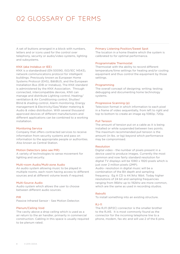A set of buttons arranged in a block with numbers, letters and or icons used for the control over telephony, security or audio/video systems, lighting and subsystems.

#### KNX (aka Instabus or IEE)

KNX is a standardised (EN 50090, ISO/IEC 14543), network communications protocol for intelligent buildings. Previously known as European Home Systems Protocol (EHS), BâtiBUS, and the European Installation Bus (EIB or Instabus), The KNX standard is administered by the KNX Association. Through connected, intercompatible devices, KNX can manage and distribute Lighting control, Heating/ ventilation & Air Conditioning control, Shutter/ Blind & shading control, Alarm monitoring, Energy management & Electricity/Gas/Water metering & Audio & video distribution. With several thousand approved devices of different manufacturers and different applications can be combined to a working installation.

#### Monitoring Service

Company that offers contracted services to receive information from security systems and pass on information to the appropriate people or authorities. Also known as Central Station.

#### Motion Detectors (also see PIR)

A variety of technologies to sense movement for lighting and security.

# Multi-room Audio/Multi-zone Audio

An audio system allowing music to be played in multiple rooms, each room having access to different sources and at different volume levels if required.

#### Multi-Source Audio

Audio system which allows the user to choose between different audio sources.

#### **PIP**

Passive Infrared Sensor - See Motion Detector.

# Plenum/Ceiling Void

The cavity above a drop ceiling which is used as a air return to the air handler, primarily in commercial construction. Cabling in this space is usually required to be plenum rated.

#### Primary Listening Position/Sweet Spot

The location in a home theatre which the system is calibrated to for optimal performance.

#### Programmable Thermostat

Thermostat with the ability to record different temperature/time settings for heating and/or cooling equipment and thus control the equipment by those settings.

#### Programming

The overall concept of designing; writing; testing; debugging and documenting home technology systems.

#### Progressive Scanning (p)

Television format in which information to each pixel in a frame of video sequentially, from left to right and top to bottom to create an image eg 1080p; 720p.

#### Pull Tension

The amount of tension put on a cable as it is being installed or while suspended between two points. The maximum recommended pull tension is the amount (in lbs. or kg) beyond which performance may be compromised.

#### Resolution

Digital video - the number of pixels present in a device used to produce images. Currently the most common and now fairly standard resolution for digital TV displays will be 1080 x 1920 pixels which is just over 2 million pixels (2MP).

Audio- resolution in digital music will be a combination of the Bit depth and sampling frequency. Eg A CD is 44.1khz 16bit. Today higher resolutions of 24 bit and sampling frequencies ranging from 96khz up to 192khz are more common, which are the same as used in recording studios.

# Retrofit

To install something into an existing structure.

# RJ-11

The RJ11 (6P2C) connector is the smaller brother to the RJ45. It is most commonly found as the connector for the incoming telephone line to a phone, modem, fax etc and will use 2 of the 6 pins.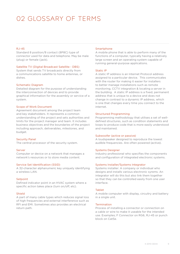# $R$ I-45

Standard 8 position/8 contact (8P8C) type of connector used for data and telephone. May be male (plug) or female (jack).

#### Satellite TV (Digital Broadcast Satellite - DBS)

System that sends TV broadcasts directly from a communications satellite to home antennas, or dishes.

#### Schematic Diagram

Detailed diagram for the purpose of understanding the interconnection of devices and to provide graphical information for the assembly or service of a system.

#### Scope of Work Document

Agreement document among the project team and key stakeholders. It represents a common understanding of the project and sets authorities and limits for the project manager and team. It includes business objectives and the boundaries of the project including approach, deliverables, milestones, and budget.

#### Security Panel

The central processor of the security system.

### Server

Computer or device on a network that manages a network's resources or to store media content.

# Service Set Identification (SSID)

A 32-character alphanumeric key uniquely identifying a wireless LAN.

#### **Setpoint**

Defined indicator point in an HVAC system where a specific action takes place (turn on/off, etc).

#### Shield

A part of many cable types which reduces signal loss of high frequencies and external interference such as RFI and EMI. Sometimes also provides an electrical return path.

#### Smartphone

A mobile phone that is able to perform many of the functions of a computer, typically having a relatively large screen and an operating system capable of running general-purpose applications.

#### Static IP

A static IP address is an Internet Protocol address assigned to a particular device. This communicates with the router for making it easier for installers to better manage installations such as remote monitoring, CCTV integration & locating a server in the building. A static IP address is a fixed, permanent address that is unique to a device and does not change in contrast to a dynamic IP address, which is one that changes every time you connect to the internet.

#### Structured Programming

Programming methodology that utilises a set of welldefined structures, such as condition statements and loops to produce code that is more easily understood and maintained.

#### Subwoofer (active or passive)

A loudspeaker designed to reproduce the lowest audible frequencies. Are often powered (active).

### Systems Designer

Industry professional who specifies the components and configuration of integrated electronic systems.

#### Systems Installer/Systems Integrator

Systems installer: A company or individual who designs and installs various electronic syrems. An integrator will do this but also link them together so that they can be controlled easily from one user interface.

### Tablet

A mobile computer with display, circuitry and battery in a single unit.

#### Termination

Process of installing a connector or connection on a cable or wire to make it useable for the intended use. Examples; F Connector on RG6, RJ-45 or punch block on Cat5e.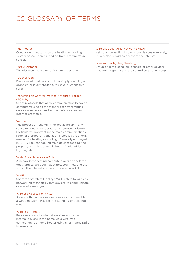#### Thermostat

Control unit that turns on the heating or cooling system based upon its reading from a temperature sensor.

#### Throw Distance

The distance the projector is from the screen.

### Touchscreen

Device used to allow control via simply touching a graphical display through a resistive or capacitive screen.

# Transmission Control Protocol/Internet Protocol (TCP/IP)

Set of protocols that allow communication between computers; used as the standard for transmitting data over networks and as the basis for standard Internet protocols.

#### Ventilation

The process of "changing" or replacing air in any space to control temperature, or remove moisture. Particularly important in the main communications room of a property, ventilation increases the energy needed for heating or cooling. Generally employed in 19" AV rack for cooling main devices feeding the property with likes of whole house Audio, Video Lighting etc.

# Wide Area Network (WAN)

A network connecting computers over a very large geographical area such as states, countries, and the world. The Internet can be considered a WAN.

#### Wi-Fi

Short for "Wireless Fidelity". Wi-Fi refers to wireless networking technology that devices to communicate over a wireless signal.

#### Wireless Access Point (WAP)

A device that allows wireless devices to connect to a wired network. May be free-standing or built into a router.

#### Wireless Internet

Provides access to Internet services and other internal devices in the home via a wire-free connection to a home Router using short-range radio transmission.

#### Wireless Local Area Network (WLAN)

Network connecting two or more devices wirelessly, usually also providing access to the Internet.

#### Zone (audio/lighting/heating)

Group of lights, speakers, sensors or other devices that work together and are controlled as one group.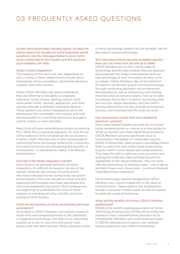# 03 FREQUENTLY ASKED QUESTIONS

As the home technology industry grows, so does the client's search for answers to some frequently asked questions. Use the messages below to give clients some context about the industry and the solutions your company can offer.

#### What is home integration?

The meaning of this term can vary depending on who is using it. Other related terms include home networking, home automation, residential electronic systems, and smart homes.

When CEDIA Members talk about integration, they are referring to the ability to integrate television, home cinema, lighting control, multiroom audio, HVAC, security, appliances, and other systems through a centrally controlled network. These systems are custom designed to allow the homeowner the convenient, time-saving, and costsaving benefits of controlling electronics through a central control, or even remotely.

Many think of home networking as simply connecting PCs. While this is a growing segment, it's only the tip of the iceberg in terms of what can be connected in a home. CEDIA Members are on the cutting edge of connecting home technology systems for consumers. And more consumers are demanding the benefits of connectivity – in convenience, safety, and lifestyle enhancement.

### How big is the home integration market?

Since there is no universal definition of home integration, it's difficult to measure the size of the market. However, the number of homeowners who have embraced home connectivity has grown tremendously in the past decade as newer and less expensive technologies have been developed and consumer awareness has grown. More homeowners are beginning to understand the value of these systems in providing security, comfort, and costsavings to their families.

### What are the benefits of home networking and home automation?

According to CEDIA Members and industry research, those who have integrated homes or are interested in integrating technology into their home view these systems as a way to save time and spend more quality time with their families. Most customers invest in home technology systems for the benefits, not for the sake of owning technology.

# Will networked homes become outdated quickly? How can you make sure you are up to date?

CEDIA Members are on the cutting-edge of technology and develop systems that are practical and pragmatic for today's homeowners and can take advantage of new innovations as they come to market. CEDIA Members stay at the forefront of industry trends and up-and-coming technology through continuing education and professional development as well as networking with leading manufacturers at industry events. This up-to-date knowledge allows them to deliver technology that will not only merge seamlessly with the client's existing lifestyle but will also provide convenience, security, and entertainment for years to come.

### Can homeowners install their own residential electronic systems?

Many mass-market retailers provide do-it-yourself home networking kits or cinema-in-a-box products. While consumers can often install these products, CEDIA Members provide significant value to homeowners interested in a networked solution. CEDIA Professionals' deep product knowledge allows them to select the best audio visual components to suit a client's home design and usage patterns. They have the skill to optimise room acoustics and seating and calibrate video settings beyond the capabilities of the casual hobbyist. They can work with the homeowner to develop a plan – much like an architect draws out a house plan – to ensure the best integrated home experience.

Home technology systems designed by CEDIA Members are a sound investment in the value of a client's home. These systems are developed to handle a customer's needs today, as well as expand to meet the needs of tomorrow.

# What are the benefits of hiring a CEDIA Certified professional?

CEDIA is the world's leading association of Home Technology Professionals (HTPs) and provides the industry's most comprehensive education to its membership. Members who participate and excel in CEDIA's educational programs can undergo rigorous testing to earn CEDIA Certification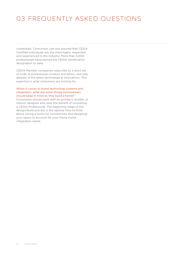# 03 FREQUENTLY ASKED QUESTIONS

credentials. Consumers can rest assured that CEDIA Certified individuals are the most highly respected and experienced in the industry. More than 5,000 professionals have earned the CEDIA Certification designation to date.

CEDIA Member companies subscribe to a strict set of code of professional conduct and ethics, and stay abreast of the latest technological innovations. This expertise is what consumers are looking for.

# When it comes to home technology systems and integration, what are some things homeowners should keep in mind as they build a home?

Consumers should work with an architect, builder, or interior designer who sees the benefit of consulting a CEDIA Professional. The beginning stage of the design/build process is the optimal time to think about wiring a home for connectivity and designing your space to account for your future home integration needs.